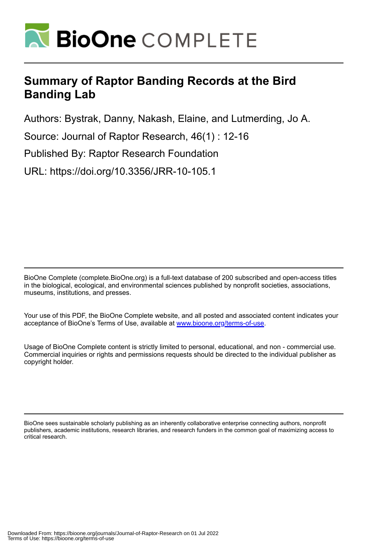

# **Summary of Raptor Banding Records at the Bird Banding Lab**

Authors: Bystrak, Danny, Nakash, Elaine, and Lutmerding, Jo A.

Source: Journal of Raptor Research, 46(1) : 12-16

Published By: Raptor Research Foundation

URL: https://doi.org/10.3356/JRR-10-105.1

BioOne Complete (complete.BioOne.org) is a full-text database of 200 subscribed and open-access titles in the biological, ecological, and environmental sciences published by nonprofit societies, associations, museums, institutions, and presses.

Your use of this PDF, the BioOne Complete website, and all posted and associated content indicates your acceptance of BioOne's Terms of Use, available at www.bioone.org/terms-of-use.

Usage of BioOne Complete content is strictly limited to personal, educational, and non - commercial use. Commercial inquiries or rights and permissions requests should be directed to the individual publisher as copyright holder.

BioOne sees sustainable scholarly publishing as an inherently collaborative enterprise connecting authors, nonprofit publishers, academic institutions, research libraries, and research funders in the common goal of maximizing access to critical research.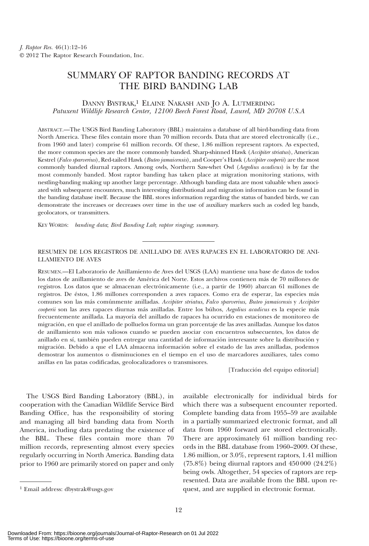# SUMMARY OF RAPTOR BANDING RECORDS AT THE BIRD BANDING LAB

# DANNY BYSTRAK, 1 ELAINE NAKASH AND JO A. LUTMERDING Patuxent Wildlife Research Center, 12100 Beech Forest Road, Laurel, MD 20708 U.S.A

ABSTRACT.—The USGS Bird Banding Laboratory (BBL) maintains a database of all bird-banding data from North America. These files contain more than 70 million records. Data that are stored electronically (i.e., from 1960 and later) comprise 61 million records. Of these, 1.86 million represent raptors. As expected, the more common species are the more commonly banded. Sharp-shinned Hawk (Accipiter striatus), American Kestrel (Falco sparverius), Red-tailed Hawk (Buteo jamaicensis), and Cooper's Hawk (Accipiter cooperii) are the most commonly banded diurnal raptors. Among owls, Northern Saw-whet Owl (Aegolius acadicus) is by far the most commonly banded. Most raptor banding has taken place at migration monitoring stations, with nestling-banding making up another large percentage. Although banding data are most valuable when associated with subsequent encounters, much interesting distributional and migration information can be found in the banding database itself. Because the BBL stores information regarding the status of banded birds, we can demonstrate the increases or decreases over time in the use of auxiliary markers such as coded leg bands, geolocators, or transmitters.

KEY WORDS: banding data; Bird Banding Lab; raptor ringing; summary.

# RESUMEN DE LOS REGISTROS DE ANILLADO DE AVES RAPACES EN EL LABORATORIO DE ANI-LLAMIENTO DE AVES

RESUMEN.—El Laboratorio de Anillamiento de Aves del USGS (LAA) mantiene una base de datos de todos los datos de anillamiento de aves de América del Norte. Estos archivos contienen más de 70 millones de registros. Los datos que se almacenan electrónicamente (i.e., a partir de 1960) abarcan 61 millones de registros. De éstos, 1.86 millones corresponden a aves rapaces. Como era de esperar, las especies más comunes son las más comúnmente anilladas. Accipiter striatus, Falco sparverius, Buteo jamaicensis y Accipiter cooperii son las aves rapaces diurnas más anilladas. Entre los búhos, Aegolius acadicus es la especie más frecuentemente anillada. La mayorı´a del anillado de rapaces ha ocurrido en estaciones de monitoreo de migracio´n, en que el anillado de polluelos forma un gran porcentaje de las aves anilladas. Aunque los datos de anillamiento son más valiosos cuando se pueden asociar con encuentros subsecuentes, los datos de anillado en sí, también pueden entregar una cantidad de información interesante sobre la distribución y migración. Debido a que el LAA almacena información sobre el estado de las aves anilladas, podemos demostrar los aumentos o disminuciones en el tiempo en el uso de marcadores auxiliares, tales como anillas en las patas codificadas, geolocalizadores o transmisores.

[Traducción del equipo editorial]

The USGS Bird Banding Laboratory (BBL), in cooperation with the Canadian Wildlife Service Bird Banding Office, has the responsibility of storing and managing all bird banding data from North America, including data predating the existence of the BBL. These files contain more than 70 million records, representing almost every species regularly occurring in North America. Banding data prior to 1960 are primarily stored on paper and only

available electronically for individual birds for which there was a subsequent encounter reported. Complete banding data from 1955–59 are available in a partially summarized electronic format, and all data from 1960 forward are stored electronically. There are approximately 61 million banding records in the BBL database from 1960–2009. Of these, 1.86 million, or 3.0%, represent raptors, 1.41 million (75.8%) being diurnal raptors and 450 000 (24.2%) being owls. Altogether, 54 species of raptors are represented. Data are available from the BBL upon request, and are supplied in electronic format. <sup>1</sup> Email address: dbystrak@usgs.gov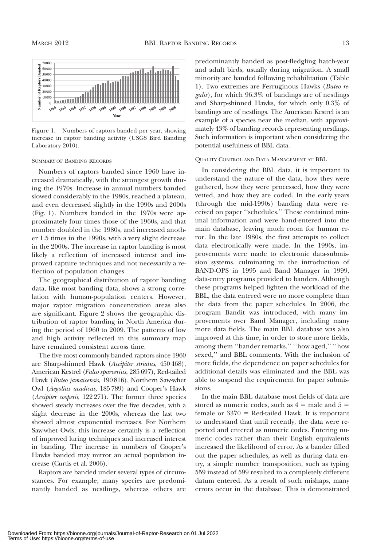

Figure 1. Numbers of raptors banded per year, showing increase in raptor banding activity (USGS Bird Banding Laboratory 2010).

#### SUMMARY OF BANDING RECORDS

Numbers of raptors banded since 1960 have increased dramatically, with the strongest growth during the 1970s. Increase in annual numbers banded slowed considerably in the 1980s, reached a plateau, and even decreased slightly in the 1990s and 2000s (Fig. 1). Numbers banded in the 1970s were approximately four times those of the 1960s, and that number doubled in the 1980s, and increased another 1.5 times in the 1990s, with a very slight decrease in the 2000s. The increase in raptor banding is most likely a reflection of increased interest and improved capture techniques and not necessarily a reflection of population changes.

The geographical distribution of raptor banding data, like most banding data, shows a strong correlation with human-population centers. However, major raptor migration concentration areas also are significant. Figure 2 shows the geographic distribution of raptor banding in North America during the period of 1960 to 2009. The patterns of low and high activity reflected in this summary map have remained consistent across time.

The five most commonly banded raptors since 1960 are Sharp-shinned Hawk (Accipiter striatus, 450 468), American Kestrel (Falco sparverius, 285 697), Red-tailed Hawk (Buteo jamaicensis, 190 816), Northern Saw-whet Owl (Aegolius acadicus, 185 789) and Cooper's Hawk (Accipiter cooperii, 122 271). The former three species showed steady increases over the five decades, with a slight decrease in the 2000s, whereas the last two showed almost exponential increases. For Northern Saw-whet Owls, this increase certainly is a reflection of improved luring techniques and increased interest in banding. The increase in numbers of Cooper's Hawks banded may mirror an actual population increase (Curtis et al. 2006).

Raptors are banded under several types of circumstances. For example, many species are predominantly banded as nestlings, whereas others are

predominantly banded as post-fledgling hatch-year and adult birds, usually during migration. A small minority are banded following rehabilitation (Table 1). Two extremes are Ferruginous Hawks (Buteo regalis), for which 96.3% of bandings are of nestlings and Sharp-shinned Hawks, for which only 0.3% of bandings are of nestlings. The American Kestrel is an example of a species near the median, with approximately 43% of banding records representing nestlings. Such information is important when considering the potential usefulness of BBL data.

### QUALITY CONTROL AND DATA MANAGEMENT AT BBL

In considering the BBL data, it is important to understand the nature of the data, how they were gathered, how they were processed, how they were vetted, and how they are coded. In the early years (through the mid-1990s) banding data were received on paper ''schedules.'' These contained minimal information and were hand-entered into the main database, leaving much room for human error. In the late 1980s, the first attempts to collect data electronically were made. In the 1990s, improvements were made to electronic data-submission systems, culminating in the introduction of BAND-OPS in 1995 and Band Manager in 1999, data-entry programs provided to banders. Although these programs helped lighten the workload of the BBL, the data entered were no more complete than the data from the paper schedules. In 2006, the program Bandit was introduced, with many improvements over Band Manager, including many more data fields. The main BBL database was also improved at this time, in order to store more fields, among them ''bander remarks,'' ''how aged,'' ''how sexed,'' and BBL comments. With the inclusion of more fields, the dependence on paper schedules for additional details was eliminated and the BBL was able to suspend the requirement for paper submissions.

In the main BBL database most fields of data are stored as numeric codes, such as  $4 =$  male and  $5 =$ female or  $3370 =$  Red-tailed Hawk. It is important to understand that until recently, the data were reported and entered as numeric codes. Entering numeric codes rather than their English equivalents increased the likelihood of error. As a bander filled out the paper schedules, as well as during data entry, a simple number transposition, such as typing 559 instead of 599 resulted in a completely different datum entered. As a result of such mishaps, many errors occur in the database. This is demonstrated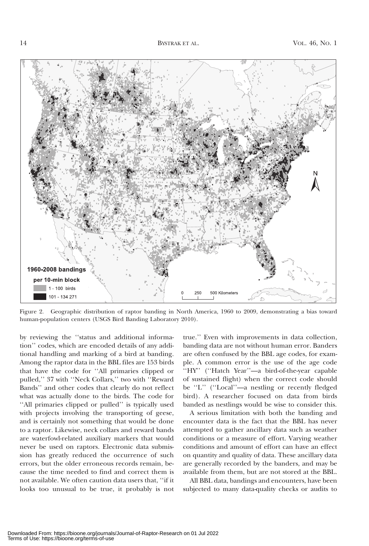

Figure 2. Geographic distribution of raptor banding in North America, 1960 to 2009, demonstrating a bias toward human-population centers (USGS Bird Banding Laboratory 2010).

by reviewing the ''status and additional information'' codes, which are encoded details of any additional handling and marking of a bird at banding. Among the raptor data in the BBL files are 153 birds that have the code for ''All primaries clipped or pulled,'' 37 with ''Neck Collars,'' two with ''Reward Bands'' and other codes that clearly do not reflect what was actually done to the birds. The code for ''All primaries clipped or pulled'' is typically used with projects involving the transporting of geese, and is certainly not something that would be done to a raptor. Likewise, neck collars and reward bands are waterfowl-related auxiliary markers that would never be used on raptors. Electronic data submission has greatly reduced the occurrence of such errors, but the older erroneous records remain, because the time needed to find and correct them is not available. We often caution data users that, ''if it looks too unusual to be true, it probably is not true.'' Even with improvements in data collection, banding data are not without human error. Banders are often confused by the BBL age codes, for example. A common error is the use of the age code ''HY'' (''Hatch Year''—a bird-of-the-year capable of sustained flight) when the correct code should be ''L'' (''Local''—a nestling or recently fledged bird). A researcher focused on data from birds banded as nestlings would be wise to consider this.

A serious limitation with both the banding and encounter data is the fact that the BBL has never attempted to gather ancillary data such as weather conditions or a measure of effort. Varying weather conditions and amount of effort can have an effect on quantity and quality of data. These ancillary data are generally recorded by the banders, and may be available from them, but are not stored at the BBL.

All BBL data, bandings and encounters, have been subjected to many data-quality checks or audits to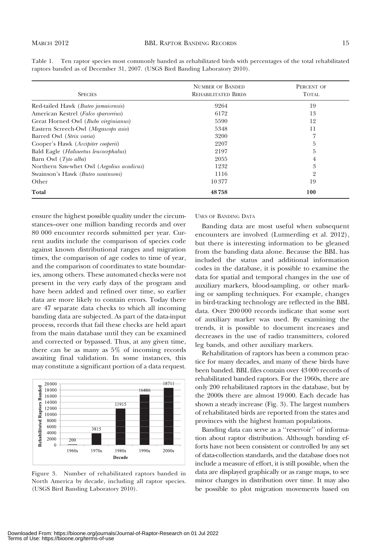| <b>SPECIES</b>                            | <b>NUMBER OF BANDED</b><br><b>REHABILITATED BIRDS</b> | PERCENT OF<br><b>TOTAL</b> |
|-------------------------------------------|-------------------------------------------------------|----------------------------|
| Red-tailed Hawk (Buteo jamaicensis)       | 9264                                                  | 19                         |
| American Kestrel (Falco sparverius)       | 6172                                                  | 13                         |
| Great Horned Owl (Bubo virginianus)       | 5590                                                  | 12                         |
| Eastern Screech-Owl (Megascops asio)      | 5348                                                  | 11                         |
| Barred Owl (Strix varia)                  | 3200                                                  | 7                          |
| Cooper's Hawk (Accipiter cooperii)        | 2207                                                  | 5                          |
| Bald Eagle (Haliaeetus leucocephalus)     | 2197                                                  | 5                          |
| Barn Owl (Tyto alba)                      | 2055                                                  | 4                          |
| Northern Saw-whet Owl (Aegolius acadicus) | 1232                                                  | 3                          |
| Swainson's Hawk (Buteo swainsoni)         | 1116                                                  | $\overline{2}$             |
| Other                                     | 10377                                                 | 19                         |
| Total                                     | 48758                                                 | 100                        |

Table 1. Ten raptor species most commonly banded as rehabilitated birds with percentages of the total rehabilitated raptors banded as of December 31, 2007. (USGS Bird Banding Laboratory 2010).

ensure the highest possible quality under the circumstances–over one million banding records and over 80 000 encounter records submitted per year. Current audits include the comparison of species code against known distributional ranges and migration times, the comparison of age codes to time of year, and the comparison of coordinates to state boundaries, among others. These automated checks were not present in the very early days of the program and have been added and refined over time, so earlier data are more likely to contain errors. Today there are 47 separate data checks to which all incoming banding data are subjected. As part of the data-input process, records that fail these checks are held apart from the main database until they can be examined and corrected or bypassed. Thus, at any given time, there can be as many as 5% of incoming records awaiting final validation. In some instances, this may constitute a significant portion of a data request.



Figure 3. Number of rehabilitated raptors banded in North America by decade, including all raptor species. (USGS Bird Banding Laboratory 2010).

USES OF BANDING DATA

Banding data are most useful when subsequent encounters are involved (Lutmerding et al. 2012), but there is interesting information to be gleaned from the banding data alone. Because the BBL has included the status and additional information codes in the database, it is possible to examine the data for spatial and temporal changes in the use of auxiliary markers, blood-sampling, or other marking or sampling techniques. For example, changes in bird-tracking technology are reflected in the BBL data. Over 200 000 records indicate that some sort of auxiliary marker was used. By examining the trends, it is possible to document increases and decreases in the use of radio transmitters, colored leg bands, and other auxiliary markers.

Rehabilitation of raptors has been a common practice for many decades, and many of these birds have been banded. BBL files contain over 43 000 records of rehabilitated banded raptors. For the 1960s, there are only 200 rehabilitated raptors in the database, but by the 2000s there are almost 19 000. Each decade has shown a steady increase (Fig. 3). The largest numbers of rehabilitated birds are reported from the states and provinces with the highest human populations.

Banding data can serve as a ''reservoir'' of information about raptor distribution. Although banding efforts have not been consistent or controlled by any set of data-collection standards, and the database does not include a measure of effort, it is still possible, when the data are displayed graphically or as range maps, to see minor changes in distribution over time. It may also be possible to plot migration movements based on